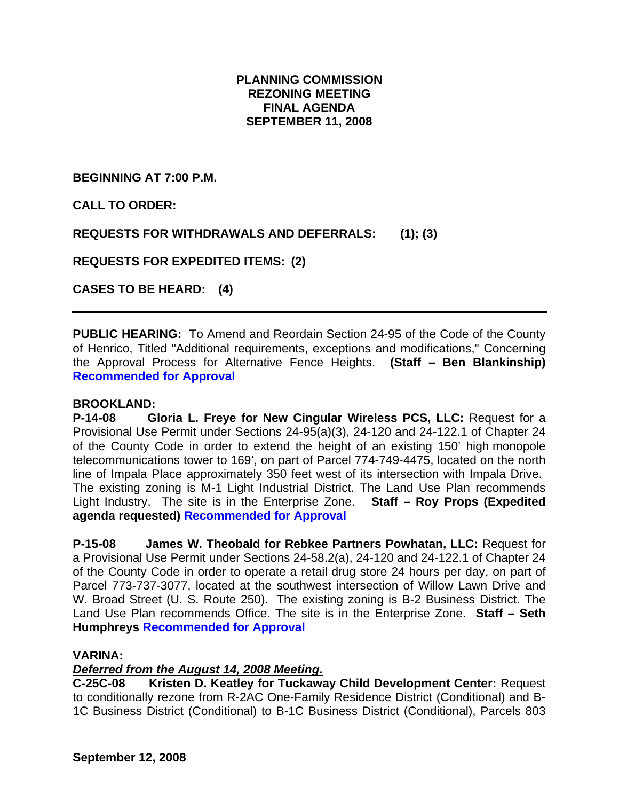# **PLANNING COMMISSION REZONING MEETING FINAL AGENDA SEPTEMBER 11, 2008**

**BEGINNING AT 7:00 P.M.** 

**CALL TO ORDER:** 

**REQUESTS FOR WITHDRAWALS AND DEFERRALS: (1); (3)** 

**REQUESTS FOR EXPEDITED ITEMS: (2)** 

**CASES TO BE HEARD: (4)** 

**PUBLIC HEARING:** To Amend and Reordain Section 24-95 of the Code of the County of Henrico, Titled "Additional requirements, exceptions and modifications," Concerning the Approval Process for Alternative Fence Heights. **(Staff – Ben Blankinship) Recommended for Approval** 

#### **BROOKLAND:**

**P-14-08 Gloria L. Freye for New Cingular Wireless PCS, LLC:** Request for a Provisional Use Permit under Sections 24-95(a)(3), 24-120 and 24-122.1 of Chapter 24 of the County Code in order to extend the height of an existing 150' high monopole telecommunications tower to 169', on part of Parcel 774-749-4475, located on the north line of Impala Place approximately 350 feet west of its intersection with Impala Drive. The existing zoning is M-1 Light Industrial District. The Land Use Plan recommends Light Industry. The site is in the Enterprise Zone. **Staff – Roy Props (Expedited agenda requested) Recommended for Approval** 

**P-15-08 James W. Theobald for Rebkee Partners Powhatan, LLC:** Request for a Provisional Use Permit under Sections 24-58.2(a), 24-120 and 24-122.1 of Chapter 24 of the County Code in order to operate a retail drug store 24 hours per day, on part of Parcel 773-737-3077, located at the southwest intersection of Willow Lawn Drive and W. Broad Street (U. S. Route 250). The existing zoning is B-2 Business District. The Land Use Plan recommends Office. The site is in the Enterprise Zone. **Staff – Seth Humphreys Recommended for Approval** 

#### **VARINA:**

# *Deferred from the August 14, 2008 Meeting.*

**C-25C-08 Kristen D. Keatley for Tuckaway Child Development Center:** Request to conditionally rezone from R-2AC One-Family Residence District (Conditional) and B-1C Business District (Conditional) to B-1C Business District (Conditional), Parcels 803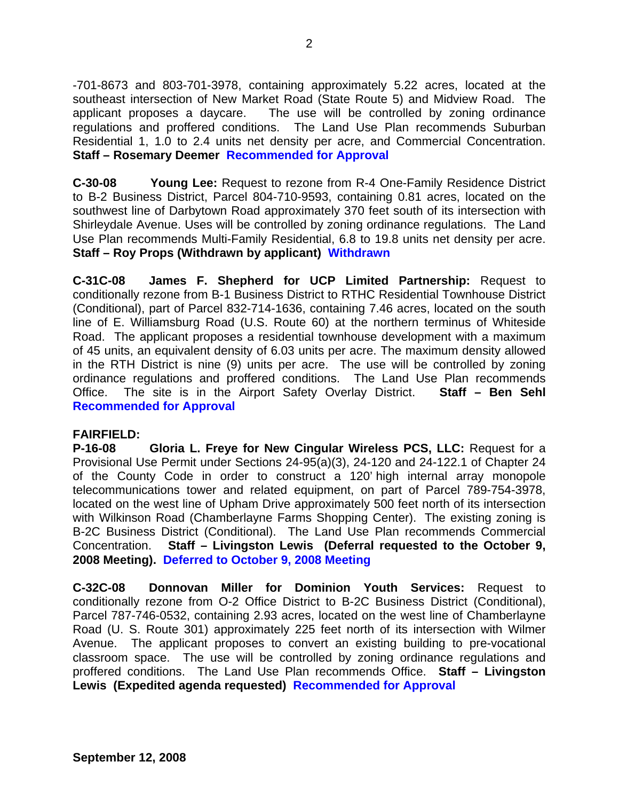-701-8673 and 803-701-3978, containing approximately 5.22 acres, located at the southeast intersection of New Market Road (State Route 5) and Midview Road. The applicant proposes a daycare. The use will be controlled by zoning ordinance regulations and proffered conditions. The Land Use Plan recommends Suburban Residential 1, 1.0 to 2.4 units net density per acre, and Commercial Concentration. **Staff – Rosemary Deemer Recommended for Approval** 

**C-30-08 Young Lee:** Request to rezone from R-4 One-Family Residence District to B-2 Business District, Parcel 804-710-9593, containing 0.81 acres, located on the southwest line of Darbytown Road approximately 370 feet south of its intersection with Shirleydale Avenue. Uses will be controlled by zoning ordinance regulations. The Land Use Plan recommends Multi-Family Residential, 6.8 to 19.8 units net density per acre. **Staff – Roy Props (Withdrawn by applicant) Withdrawn** 

**C-31C-08 James F. Shepherd for UCP Limited Partnership:** Request to conditionally rezone from B-1 Business District to RTHC Residential Townhouse District (Conditional), part of Parcel 832-714-1636, containing 7.46 acres, located on the south line of E. Williamsburg Road (U.S. Route 60) at the northern terminus of Whiteside Road. The applicant proposes a residential townhouse development with a maximum of 45 units, an equivalent density of 6.03 units per acre. The maximum density allowed in the RTH District is nine (9) units per acre. The use will be controlled by zoning ordinance regulations and proffered conditions. The Land Use Plan recommends Office. The site is in the Airport Safety Overlay District. **Staff – Ben Sehl Recommended for Approval** 

#### **FAIRFIELD:**

**P-16-08 Gloria L. Freye for New Cingular Wireless PCS, LLC:** Request for a Provisional Use Permit under Sections 24-95(a)(3), 24-120 and 24-122.1 of Chapter 24 of the County Code in order to construct a 120' high internal array monopole telecommunications tower and related equipment, on part of Parcel 789-754-3978, located on the west line of Upham Drive approximately 500 feet north of its intersection with Wilkinson Road (Chamberlayne Farms Shopping Center). The existing zoning is B-2C Business District (Conditional). The Land Use Plan recommends Commercial Concentration. **Staff – Livingston Lewis (Deferral requested to the October 9, 2008 Meeting). Deferred to October 9, 2008 Meeting** 

**C-32C-08 Donnovan Miller for Dominion Youth Services:** Request to conditionally rezone from O-2 Office District to B-2C Business District (Conditional), Parcel 787-746-0532, containing 2.93 acres, located on the west line of Chamberlayne Road (U. S. Route 301) approximately 225 feet north of its intersection with Wilmer Avenue. The applicant proposes to convert an existing building to pre-vocational classroom space. The use will be controlled by zoning ordinance regulations and proffered conditions. The Land Use Plan recommends Office. **Staff – Livingston Lewis (Expedited agenda requested) Recommended for Approval**